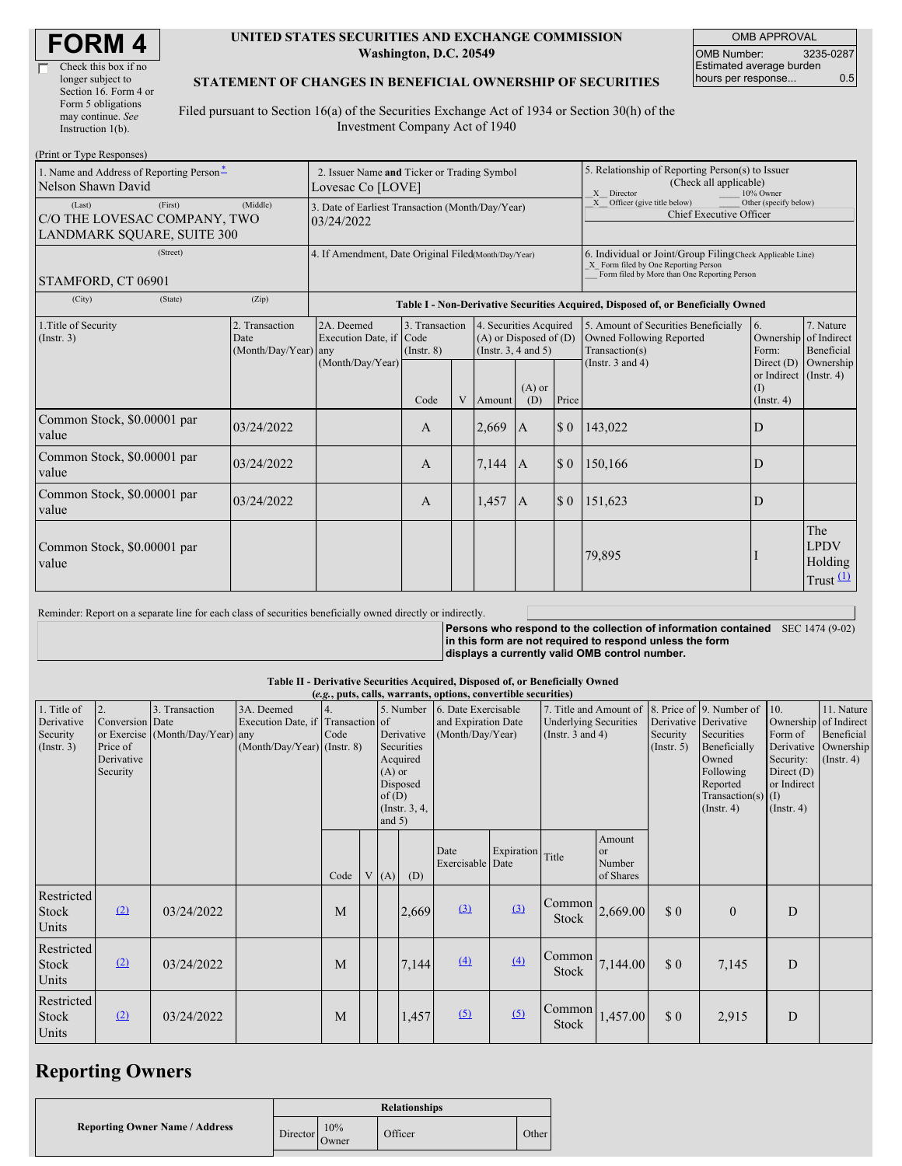| <b>FORM4</b> |
|--------------|
|--------------|

匸

| Check this box if no  |
|-----------------------|
| longer subject to     |
| Section 16. Form 4 or |
| Form 5 obligations    |
| may continue. See     |
| Instruction $1(b)$ .  |
|                       |

#### **UNITED STATES SECURITIES AND EXCHANGE COMMISSION Washington, D.C. 20549**

OMB APPROVAL OMB Number: 3235-0287 Estimated average burden hours per response... 0.5

### **STATEMENT OF CHANGES IN BENEFICIAL OWNERSHIP OF SECURITIES**

Filed pursuant to Section 16(a) of the Securities Exchange Act of 1934 or Section 30(h) of the Investment Company Act of 1940

| (Print or Type Responses)                                                       |                                                                  |                                                                                  |                                           |   |                                                                              |                                                                                                       |                                                                                                                                                    |                                                                                    |                                                              |                                              |  |  |
|---------------------------------------------------------------------------------|------------------------------------------------------------------|----------------------------------------------------------------------------------|-------------------------------------------|---|------------------------------------------------------------------------------|-------------------------------------------------------------------------------------------------------|----------------------------------------------------------------------------------------------------------------------------------------------------|------------------------------------------------------------------------------------|--------------------------------------------------------------|----------------------------------------------|--|--|
| 1. Name and Address of Reporting Person-<br>Nelson Shawn David                  | 2. Issuer Name and Ticker or Trading Symbol<br>Lovesac Co [LOVE] |                                                                                  |                                           |   |                                                                              | 5. Relationship of Reporting Person(s) to Issuer<br>(Check all applicable)<br>X Director<br>10% Owner |                                                                                                                                                    |                                                                                    |                                                              |                                              |  |  |
| (First)<br>(Last)<br>C/O THE LOVESAC COMPANY, TWO<br>LANDMARK SQUARE, SUITE 300 | 3. Date of Earliest Transaction (Month/Day/Year)<br>03/24/2022   |                                                                                  |                                           |   |                                                                              |                                                                                                       | X Officer (give title below)<br>Other (specify below)<br>Chief Executive Officer                                                                   |                                                                                    |                                                              |                                              |  |  |
| (Street)<br>STAMFORD, CT 06901                                                  | 4. If Amendment, Date Original Filed(Month/Day/Year)             |                                                                                  |                                           |   |                                                                              |                                                                                                       | 6. Individual or Joint/Group Filing(Check Applicable Line)<br>X Form filed by One Reporting Person<br>Form filed by More than One Reporting Person |                                                                                    |                                                              |                                              |  |  |
| (City)<br>(State)                                                               | (Zip)                                                            | Table I - Non-Derivative Securities Acquired, Disposed of, or Beneficially Owned |                                           |   |                                                                              |                                                                                                       |                                                                                                                                                    |                                                                                    |                                                              |                                              |  |  |
| 1. Title of Security<br>(Insert. 3)                                             | 2. Transaction<br>Date<br>(Month/Day/Year) any                   | 2A. Deemed<br>Execution Date, if                                                 | 3. Transaction<br>Code<br>$($ Instr. $8)$ |   | 4. Securities Acquired<br>$(A)$ or Disposed of $(D)$<br>(Insert. 3, 4 and 5) |                                                                                                       |                                                                                                                                                    | 5. Amount of Securities Beneficially<br>Owned Following Reported<br>Transaction(s) | 16.<br>Ownership of Indirect<br>Form:                        | 7. Nature<br>Beneficial                      |  |  |
|                                                                                 |                                                                  | (Month/Day/Year)                                                                 | Code                                      | V | Amount                                                                       | $(A)$ or<br>(D)                                                                                       | Price                                                                                                                                              | (Instr. $3$ and $4$ )                                                              | Direct $(D)$<br>or Indirect (Instr. 4)<br>(I)<br>(Insert, 4) | Ownership                                    |  |  |
| Common Stock, \$0.00001 par<br>value                                            | 03/24/2022                                                       |                                                                                  | $\mathsf{A}$                              |   | 2,669                                                                        | $\mathbf{A}$                                                                                          | $\boldsymbol{\mathsf{S}}$ 0                                                                                                                        | 143,022                                                                            | D                                                            |                                              |  |  |
| Common Stock, \$0,00001 par<br>value                                            | 03/24/2022                                                       |                                                                                  | $\mathbf{A}$                              |   | 7,144                                                                        | $\overline{A}$                                                                                        | \$0                                                                                                                                                | 150,166                                                                            | D                                                            |                                              |  |  |
| Common Stock, \$0,00001 par<br>value                                            | 03/24/2022                                                       |                                                                                  | $\mathbf{A}$                              |   | 1,457                                                                        | $\overline{A}$                                                                                        | $\boldsymbol{\mathsf{S}}$ 0                                                                                                                        | 151,623                                                                            | D                                                            |                                              |  |  |
| Common Stock, \$0,00001 par<br>value                                            |                                                                  |                                                                                  |                                           |   |                                                                              |                                                                                                       |                                                                                                                                                    | 79,895                                                                             |                                                              | The<br><b>LPDV</b><br>Holding<br>Trust $(1)$ |  |  |

Reminder: Report on a separate line for each class of securities beneficially owned directly or indirectly.

**Persons who respond to the collection of information contained** SEC 1474 (9-02) **in this form are not required to respond unless the form displays a currently valid OMB control number.**

#### **Table II - Derivative Securities Acquired, Disposed of, or Beneficially Owned (***e.g.***, puts, calls, warrants, options, convertible securities)**

|                                                      | $(c,c_i, puis, canis, wariants, vpuons, voutve time set functions)$ |                                                    |                                                                                  |                        |  |                   |                                                   |                          |                                                                                                                                                   |                                                                    |                                           |                                                                                                           |                                                      |                                                                                    |  |
|------------------------------------------------------|---------------------------------------------------------------------|----------------------------------------------------|----------------------------------------------------------------------------------|------------------------|--|-------------------|---------------------------------------------------|--------------------------|---------------------------------------------------------------------------------------------------------------------------------------------------|--------------------------------------------------------------------|-------------------------------------------|-----------------------------------------------------------------------------------------------------------|------------------------------------------------------|------------------------------------------------------------------------------------|--|
| 1. Title of<br>Derivative<br>Security<br>(Insert. 3) | 2.<br>Conversion Date<br>Price of<br>Derivative<br>Security         | 3. Transaction<br>or Exercise (Month/Day/Year) any | 3A. Deemed<br>Execution Date, if Transaction of<br>$(Month/Day/Year)$ (Instr. 8) | $\overline{4}$<br>Code |  | $(A)$ or          | 5. Number<br>Derivative<br>Securities<br>Acquired |                          | 6. Date Exercisable<br>7. Title and Amount of<br>and Expiration Date<br><b>Underlying Securities</b><br>(Instr. $3$ and $4$ )<br>(Month/Day/Year) |                                                                    | Security<br>$($ Instr. 5 $)$              | 8. Price of 9. Number of 10.<br>Derivative Derivative<br>Securities<br>Beneficially<br>Owned<br>Following | Form of<br>Derivative<br>Security:<br>Direct $(D)$   | 11. Nature<br>Ownership of Indirect<br>Beneficial<br>Ownership<br>$($ Instr. 4 $)$ |  |
|                                                      |                                                                     |                                                    |                                                                                  |                        |  | of(D)<br>and $5)$ | Disposed<br>(Instr. 3, 4,                         |                          |                                                                                                                                                   |                                                                    |                                           |                                                                                                           | Reported<br>Transaction(s) $(I)$<br>$($ Instr. 4 $)$ | or Indirect<br>$($ Instr. 4 $)$                                                    |  |
|                                                      |                                                                     |                                                    |                                                                                  | Code                   |  | V(A)              | (D)                                               | Date<br>Exercisable Date | Expiration Title                                                                                                                                  |                                                                    | Amount<br>$\alpha$<br>Number<br>of Shares |                                                                                                           |                                                      |                                                                                    |  |
| Restricted<br><b>Stock</b><br>Units                  | (2)                                                                 | 03/24/2022                                         |                                                                                  | M                      |  |                   | 2,669                                             | $\Omega$                 | (3)                                                                                                                                               | Common<br>Stock                                                    | 2,669.00                                  | $\boldsymbol{\mathsf{S}}\boldsymbol{\mathsf{0}}$                                                          | $\overline{0}$                                       | D                                                                                  |  |
| Restricted<br>Stock<br>Units                         | (2)                                                                 | 03/24/2022                                         |                                                                                  | M                      |  |                   | 7,144                                             | (4)                      | (4)                                                                                                                                               | $\begin{bmatrix} \text{Common} \\ 7,144.00 \end{bmatrix}$<br>Stock |                                           | $\boldsymbol{\mathsf{S}}\boldsymbol{\mathsf{0}}$                                                          | 7,145                                                | D                                                                                  |  |
| Restricted<br>Stock<br>Units                         | (2)                                                                 | 03/24/2022                                         |                                                                                  | M                      |  |                   | 1,457                                             | (5)                      | (5)                                                                                                                                               | <b>Common</b><br><b>Stock</b>                                      | 1,457.00                                  | \$0                                                                                                       | 2,915                                                | D                                                                                  |  |

## **Reporting Owners**

|                                       | <b>Relationships</b> |              |         |       |  |  |  |
|---------------------------------------|----------------------|--------------|---------|-------|--|--|--|
| <b>Reporting Owner Name / Address</b> | Director             | 10%<br>Owner | Officer | Other |  |  |  |